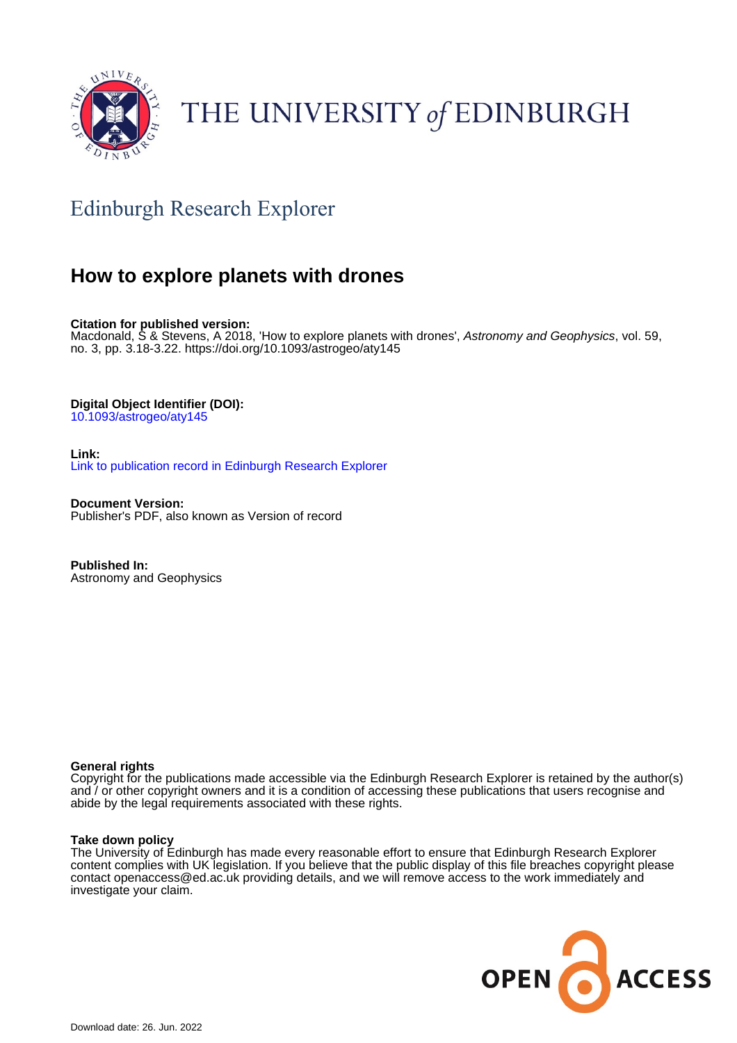

## THE UNIVERSITY of EDINBURGH

## Edinburgh Research Explorer

## **How to explore planets with drones**

**Citation for published version:**

Macdonald, S & Stevens, A 2018, 'How to explore planets with drones', Astronomy and Geophysics, vol. 59, no. 3, pp. 3.18-3.22.<https://doi.org/10.1093/astrogeo/aty145>

**Digital Object Identifier (DOI):**

[10.1093/astrogeo/aty145](https://doi.org/10.1093/astrogeo/aty145)

**Link:** [Link to publication record in Edinburgh Research Explorer](https://www.research.ed.ac.uk/en/publications/3c491923-2fb8-458f-a842-0d1c7c4a0aeb)

**Document Version:** Publisher's PDF, also known as Version of record

**Published In:** Astronomy and Geophysics

#### **General rights**

Copyright for the publications made accessible via the Edinburgh Research Explorer is retained by the author(s) and / or other copyright owners and it is a condition of accessing these publications that users recognise and abide by the legal requirements associated with these rights.

#### **Take down policy**

The University of Edinburgh has made every reasonable effort to ensure that Edinburgh Research Explorer content complies with UK legislation. If you believe that the public display of this file breaches copyright please contact openaccess@ed.ac.uk providing details, and we will remove access to the work immediately and investigate your claim.

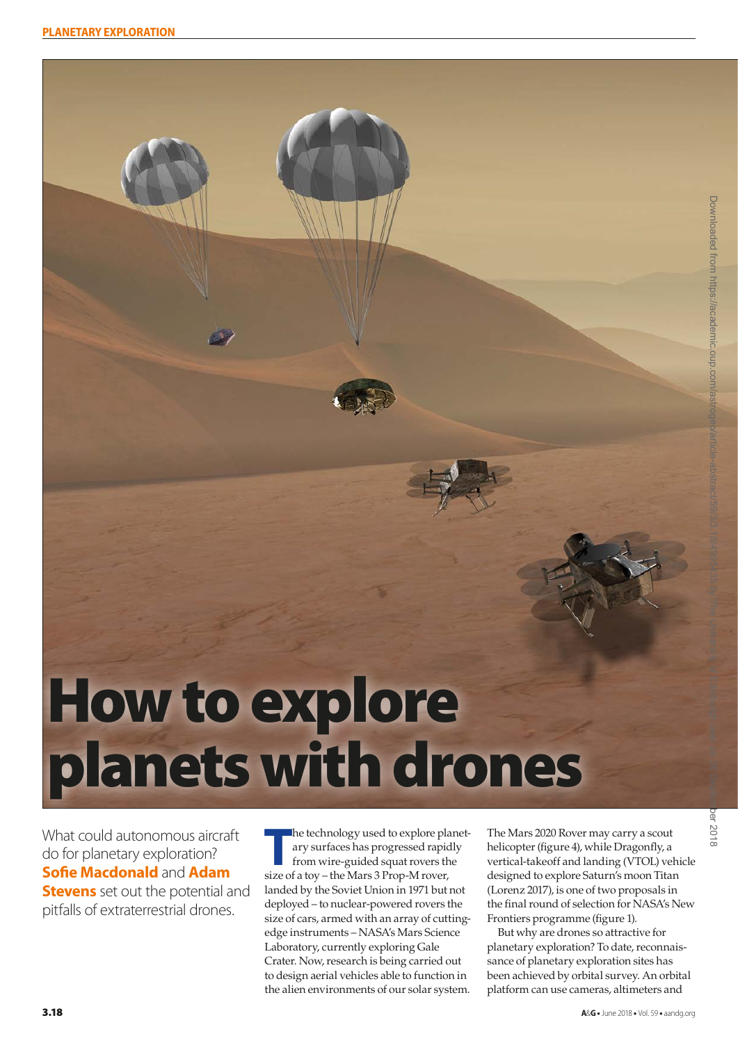# How to explore planets with drones

What could autonomous aircraft do for planetary exploration? **Sofie Macdonald** and **Adam Stevens** set out the potential and pitfalls of extraterrestrial drones.

**T**he technology used to explore planetary surfaces has progressed rapidly from wire-guided squat rovers the size of a toy – the Mars 3 Prop-M rover, landed by the Soviet Union in 1971 but not deployed – to nuclear-powered rovers the size of cars, armed with an array of cuttingedge instruments – NASA's Mars Science Laboratory, currently exploring Gale Crater. Now, research is being carried out to design aerial vehicles able to function in the alien environments of our solar system.

The Mars 2020 Rover may carry a scout helicopter (figure 4), while Dragonfly, a vertical-takeoff and landing (VTOL) vehicle designed to explore Saturn's moon Titan (Lorenz 2017), is one of two proposals in the final round of selection for NASA's New Frontiers programme (figure 1).

But why are drones so attractive for planetary exploration? To date, reconnaissance of planetary exploration sites has been achieved by orbital survey. An orbital platform can use cameras, altimeters and

 $\widetilde{\Phi}$ 8102-

Downloaded from https://academic.oup.com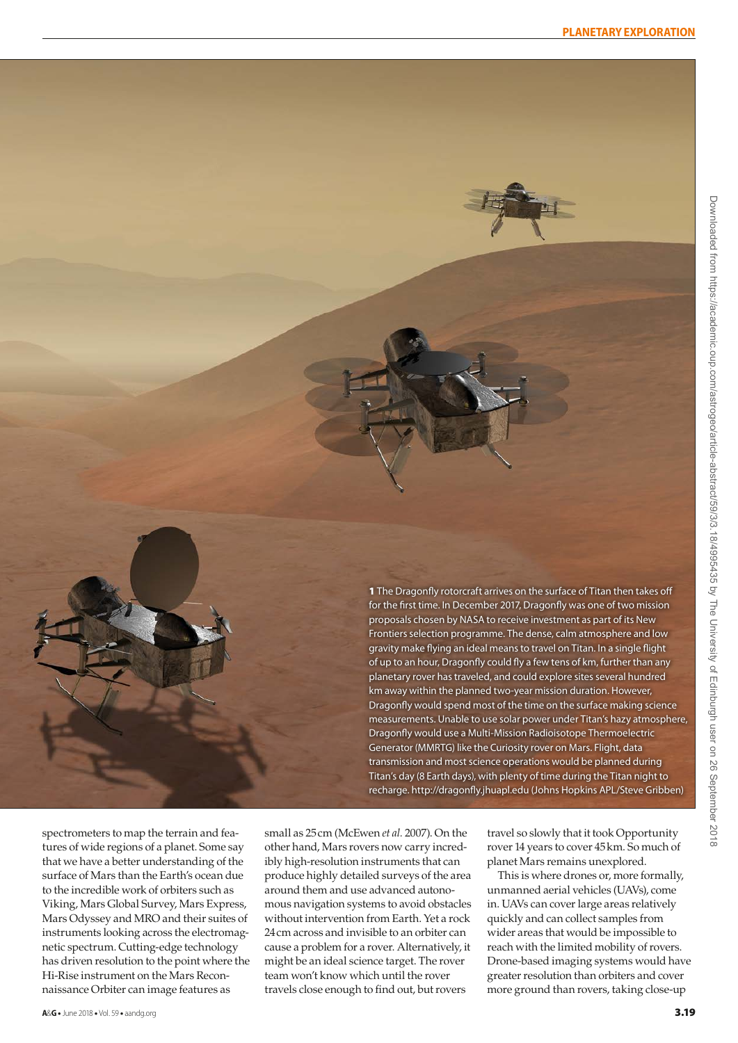

1 The Dragonfly rotorcraft arrives on the surface of Titan then takes off for the first time. In December 2017, Dragonfly was one of two mission proposals chosen by NASA to receive investment as part of its New Frontiers selection programme. The dense, calm atmosphere and low gravity make flying an ideal means to travel on Titan. In a single flight of up to an hour, Dragonfly could fly a few tens of km, further than any planetary rover has traveled, and could explore sites several hundred km away within the planned two-year mission duration. However, Dragonfly would spend most of the time on the surface making science measurements. Unable to use solar power under Titan's hazy atmosphere, Dragonfly would use a Multi-Mission Radioisotope Thermoelectric Generator (MMRTG) like the Curiosity rover on Mars. Flight, data transmission and most science operations would be planned during Titan's day (8 Earth days), with plenty of time during the Titan night to recharge.<http://dragonfly.jhuapl.edu>(Johns Hopkins APL/Steve Gribben)

spectrometers to map the terrain and features of wide regions of a planet. Some say that we have a better understanding of the surface of Mars than the Earth's ocean due to the incredible work of orbiters such as Viking, Mars Global Survey, Mars Express, Mars Odyssey and MRO and their suites of instruments looking across the electromagnetic spectrum. Cutting-edge technology has driven resolution to the point where the Hi-Rise instrument on the Mars Reconnaissance Orbiter can image features as

small as 25cm (McEwen *et al.* 2007). On the other hand, Mars rovers now carry incredibly high-resolution instruments that can produce highly detailed surveys of the area around them and use advanced autonomous navigation systems to avoid obstacles without intervention from Earth. Yet a rock 24cm across and invisible to an orbiter can cause a problem for a rover. Alternatively, it might be an ideal science target. The rover team won't know which until the rover travels close enough to find out, but rovers

travel so slowly that it took Opportunity rover 14 years to cover 45km. So much of planet Mars remains unexplored.

This is where drones or, more formally, unmanned aerial vehicles (UAVs), come in. UAVs can cover large areas relatively quickly and can collect samples from wider areas that would be impossible to reach with the limited mobility of rovers. Drone-based imaging systems would have greater resolution than orbiters and cover more ground than rovers, taking close-up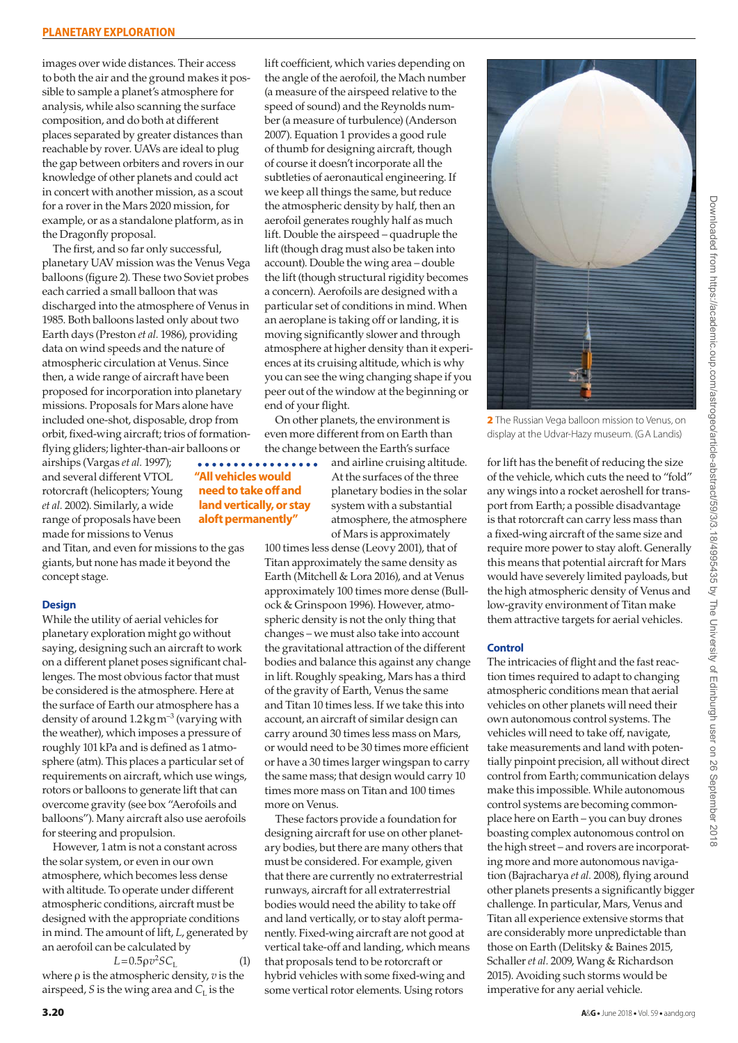images over wide distances. Their access to both the air and the ground makes it possible to sample a planet's atmosphere for analysis, while also scanning the surface composition, and do both at different places separated by greater distances than reachable by rover. UAVs are ideal to plug the gap between orbiters and rovers in our knowledge of other planets and could act in concert with another mission, as a scout for a rover in the Mars 2020 mission, for example, or as a standalone platform, as in the Dragonfly proposal.

The first, and so far only successful, planetary UAV mission was the Venus Vega balloons (figure 2). These two Soviet probes each carried a small balloon that was discharged into the atmosphere of Venus in 1985. Both balloons lasted only about two Earth days (Preston *et al.* 1986), providing data on wind speeds and the nature of atmospheric circulation at Venus. Since then, a wide range of aircraft have been proposed for incorporation into planetary missions. Proposals for Mars alone have included one-shot, disposable, drop from orbit, fixed-wing aircraft; trios of formationflying gliders; lighter-than-air balloons or

airships (Vargas *et al.* 1997); and several different VTOL rotorcraft (helicopters; Young *et al.* 2002). Similarly, a wide range of proposals have been made for missions to Venus

and Titan, and even for missions to the gas giants, but none has made it beyond the concept stage.

**"All vehicles would need to take off and land vertically, or stay aloft permanently"**

#### **Design**

While the utility of aerial vehicles for planetary exploration might go without saying, designing such an aircraft to work on a different planet poses significant challenges. The most obvious factor that must be considered is the atmosphere. Here at the surface of Earth our atmosphere has a density of around  $1.2\,\mathrm{kg\,m}^{-3}$  (varying with the weather), which imposes a pressure of roughly 101kPa and is defined as 1atmosphere (atm). This places a particular set of requirements on aircraft, which use wings, rotors or balloons to generate lift that can overcome gravity (see box "Aerofoils and balloons"). Many aircraft also use aerofoils for steering and propulsion.

However, 1atm is not a constant across the solar system, or even in our own atmosphere, which becomes less dense with altitude. To operate under different atmospheric conditions, aircraft must be designed with the appropriate conditions in mind. The amount of lift, *L*, generated by an aerofoil can be calculated by

 $L = 0.5 \rho v^2 S C_L$  (1) where ρ is the atmospheric density, *v* is the airspeed,  $S$  is the wing area and  $C<sub>L</sub>$  is the

lift coefficient, which varies depending on the angle of the aerofoil, the Mach number (a measure of the airspeed relative to the speed of sound) and the Reynolds number (a measure of turbulence) (Anderson 2007). Equation 1 provides a good rule of thumb for designing aircraft, though of course it doesn't incorporate all the subtleties of aeronautical engineering. If we keep all things the same, but reduce the atmospheric density by half, then an aerofoil generates roughly half as much lift. Double the airspeed – quadruple the lift (though drag must also be taken into account). Double the wing area – double the lift (though structural rigidity becomes a concern). Aerofoils are designed with a particular set of conditions in mind. When an aeroplane is taking off or landing, it is moving significantly slower and through atmosphere at higher density than it experiences at its cruising altitude, which is why you can see the wing changing shape if you peer out of the window at the beginning or end of your flight.

On other planets, the environment is even more different from on Earth than the change between the Earth's surface

a a al

and airline cruising altitude. At the surfaces of the three planetary bodies in the solar system with a substantial atmosphere, the atmosphere of Mars is approximately

100 times less dense (Leovy 2001), that of Titan approximately the same density as Earth (Mitchell & Lora 2016), and at Venus approximately 100 times more dense (Bullock & Grinspoon 1996). However, atmospheric density is not the only thing that changes – we must also take into account the gravitational attraction of the different bodies and balance this against any change in lift. Roughly speaking, Mars has a third of the gravity of Earth, Venus the same and Titan 10 times less. If we take this into account, an aircraft of similar design can carry around 30 times less mass on Mars, or would need to be 30 times more efficient or have a 30 times larger wingspan to carry the same mass; that design would carry 10 times more mass on Titan and 100 times more on Venus.

These factors provide a foundation for designing aircraft for use on other planetary bodies, but there are many others that must be considered. For example, given that there are currently no extraterrestrial runways, aircraft for all extraterrestrial bodies would need the ability to take off and land vertically, or to stay aloft permanently. Fixed-wing aircraft are not good at vertical take-off and landing, which means that proposals tend to be rotorcraft or hybrid vehicles with some fixed-wing and some vertical rotor elements. Using rotors



2 The Russian Vega balloon mission to Venus, on display at the Udvar-Hazy museum. (GA Landis)

for lift has the benefit of reducing the size of the vehicle, which cuts the need to "fold" any wings into a rocket aeroshell for transport from Earth; a possible disadvantage is that rotorcraft can carry less mass than a fixed-wing aircraft of the same size and require more power to stay aloft. Generally this means that potential aircraft for Mars would have severely limited payloads, but the high atmospheric density of Venus and low-gravity environment of Titan make them attractive targets for aerial vehicles.

#### **Control**

The intricacies of flight and the fast reaction times required to adapt to changing atmospheric conditions mean that aerial vehicles on other planets will need their own autonomous control systems. The vehicles will need to take off, navigate, take measurements and land with potentially pinpoint precision, all without direct control from Earth; communication delays make this impossible. While autonomous control systems are becoming commonplace here on Earth – you can buy drones boasting complex autonomous control on the high street – and rovers are incorporating more and more autonomous navigation (Bajracharya *et al.* 2008), flying around other planets presents a significantly bigger challenge. In particular, Mars, Venus and Titan all experience extensive storms that are considerably more unpredictable than those on Earth (Delitsky & Baines 2015, Schaller *et al.* 2009, Wang & Richardson 2015). Avoiding such storms would be imperative for any aerial vehicle.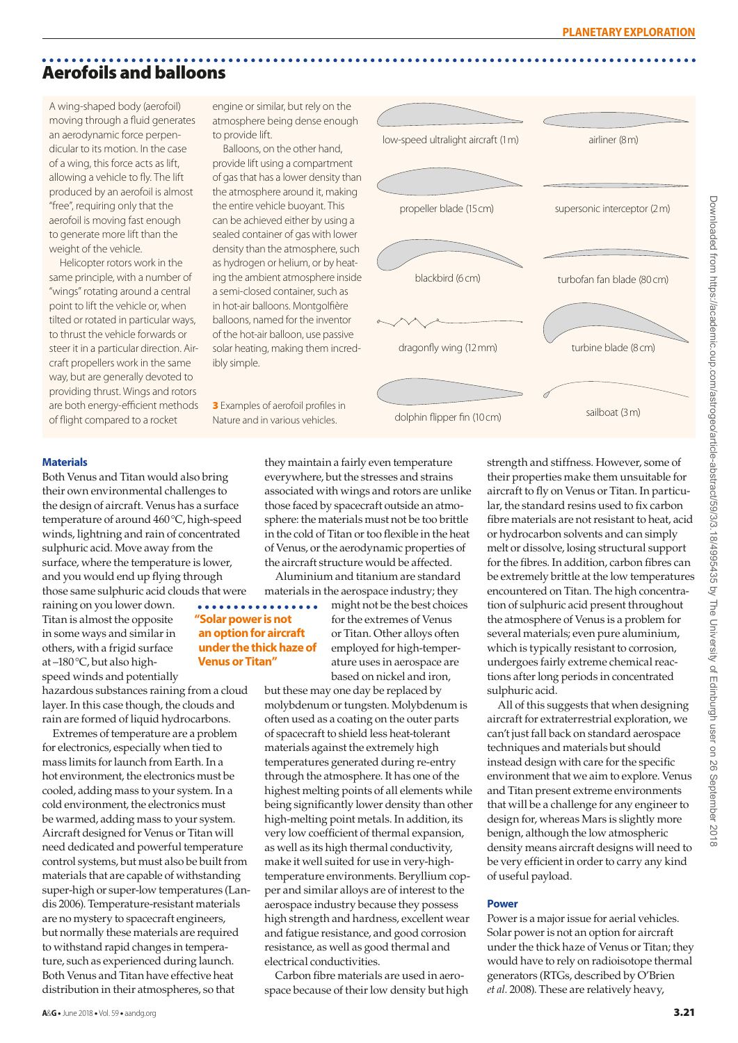### Aerofoils and balloons

A wing-shaped body (aerofoil) moving through a fluid generates an aerodynamic force perpendicular to its motion. In the case of a wing, this force acts as lift, allowing a vehicle to fly. The lift produced by an aerofoil is almost "free", requiring only that the aerofoil is moving fast enough to generate more lift than the weight of the vehicle.

Helicopter rotors work in the same principle, with a number of "wings" rotating around a central point to lift the vehicle or, when tilted or rotated in particular ways, to thrust the vehicle forwards or steer it in a particular direction. Aircraft propellers work in the same way, but are generally devoted to providing thrust. Wings and rotors are both energy-efficient methods of flight compared to a rocket

engine or similar, but rely on the atmosphere being dense enough to provide lift.

Balloons, on the other hand, provide lift using a compartment of gas that has a lower density than the atmosphere around it, making the entire vehicle buoyant. This can be achieved either by using a sealed container of gas with lower density than the atmosphere, such as hydrogen or helium, or by heating the ambient atmosphere inside a semi-closed container, such as in hot-air balloons. Montgolfière balloons, named for the inventor of the hot-air balloon, use passive solar heating, making them incredibly simple.

Nature and in various vehicles.

**Venus or Titan"**

 $\bullet\bullet\bullet\bullet\bullet$ 



#### **Materials**

Both Venus and Titan would also bring their own environmental challenges to the design of aircraft. Venus has a surface temperature of around 460°C, high-speed winds, lightning and rain of concentrated sulphuric acid. Move away from the surface, where the temperature is lower, and you would end up flying through those same sulphuric acid clouds that were  $\bullet\bullet\bullet\bullet$ 

raining on you lower down. Titan is almost the opposite in some ways and similar in others, with a frigid surface at –180°C, but also highspeed winds and potentially

hazardous substances raining from a cloud layer. In this case though, the clouds and rain are formed of liquid hydrocarbons.

Extremes of temperature are a problem for electronics, especially when tied to mass limits for launch from Earth. In a hot environment, the electronics must be cooled, adding mass to your system. In a cold environment, the electronics must be warmed, adding mass to your system. Aircraft designed for Venus or Titan will need dedicated and powerful temperature control systems, but must also be built from materials that are capable of withstanding super-high or super-low temperatures (Landis 2006). Temperature-resistant materials are no mystery to spacecraft engineers, but normally these materials are required to withstand rapid changes in temperature, such as experienced during launch. Both Venus and Titan have effective heat distribution in their atmospheres, so that

they maintain a fairly even temperature everywhere, but the stresses and strains associated with wings and rotors are unlike those faced by spacecraft outside an atmosphere: the materials must not be too brittle in the cold of Titan or too flexible in the heat of Venus, or the aerodynamic properties of the aircraft structure would be affected.

Aluminium and titanium are standard materials in the aerospace industry; they

might not be the best choices  $\overline{a}$ **"Solar power is not**  for the extremes of Venus **an option for aircraft**  or Titan. Other alloys often **under the thick haze of**  employed for high-temperature uses in aerospace are based on nickel and iron,

> but these may one day be replaced by molybdenum or tungsten. Molybdenum is often used as a coating on the outer parts of spacecraft to shield less heat-tolerant materials against the extremely high temperatures generated during re-entry through the atmosphere. It has one of the highest melting points of all elements while being significantly lower density than other high-melting point metals. In addition, its very low coefficient of thermal expansion, as well as its high thermal conductivity, make it well suited for use in very-hightemperature environments. Beryllium copper and similar alloys are of interest to the aerospace industry because they possess high strength and hardness, excellent wear and fatigue resistance, and good corrosion resistance, as well as good thermal and electrical conductivities.

Carbon fibre materials are used in aerospace because of their low density but high strength and stiffness. However, some of their properties make them unsuitable for aircraft to fly on Venus or Titan. In particular, the standard resins used to fix carbon fibre materials are not resistant to heat, acid or hydrocarbon solvents and can simply melt or dissolve, losing structural support for the fibres. In addition, carbon fibres can be extremely brittle at the low temperatures encountered on Titan. The high concentration of sulphuric acid present throughout the atmosphere of Venus is a problem for several materials; even pure aluminium, which is typically resistant to corrosion, undergoes fairly extreme chemical reactions after long periods in concentrated sulphuric acid.

All of this suggests that when designing aircraft for extraterrestrial exploration, we can't just fall back on standard aerospace techniques and materials but should instead design with care for the specific environment that we aim to explore. Venus and Titan present extreme environments that will be a challenge for any engineer to design for, whereas Mars is slightly more benign, although the low atmospheric density means aircraft designs will need to be very efficient in order to carry any kind of useful payload.

#### **Power**

Power is a major issue for aerial vehicles. Solar power is not an option for aircraft under the thick haze of Venus or Titan; they would have to rely on radioisotope thermal generators (RTGs, described by O'Brien *et al.* 2008). These are relatively heavy,